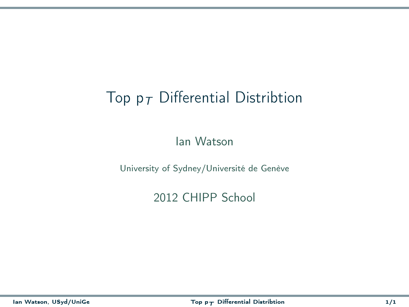# Top  $p_T$  Differential Distribtion

Ian Watson

University of Sydney/Université de Genève

<span id="page-0-0"></span>2012 CHIPP School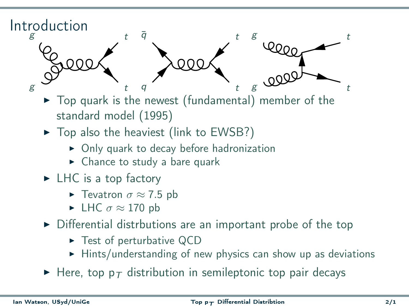

- $\triangleright$  Top quark is the newest (fundamental) member of the standard model (1995)
- $\triangleright$  Top also the heaviest (link to EWSB?)
	- ▶ Only quark to decay before hadronization
	- $\triangleright$  Chance to study a bare quark
- $\blacktriangleright$  LHC is a top factory
	- ► Tevatron  $\sigma \approx 7.5$  pb
	- ► LHC  $\sigma \approx 170$  pb
- $\triangleright$  Differential distrbutions are an important probe of the top
	- ► Test of perturbative QCD
	- ► Hints/understanding of new physics can show up as deviations
- $\blacktriangleright$  Here, top p $\tau$  distribution in semileptonic top pair decays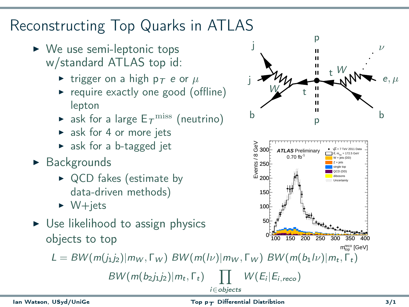## Reconstructing Top Quarks in ATLAS

- $\triangleright$  We use semi-leptonic tops w/standard ATLAS top id:
	- ightharpoon a high p  $\tau$  e or  $\mu$
	- ▶ require exactly one good (offline) lepton
	- $\blacktriangleright$  ask for a large  $E_{\mathcal{T}}^{\text{miss}}$  (neutrino)
	- $\triangleright$  ask for 4 or more jets
	- ► ask for a b-tagged jet
- ► Backgrounds
	- ▶ QCD fakes (estimate by data-driven methods)
	- $\triangleright$  W+jets
- $\triangleright$  Use likelihood to assign physics objects to top

 $W \rightarrow t$ t W b j j b  $e, \mu$ ν p p 100 150 200 250 300 350 400 )<br>- 8 300<br>- 8 250<br>- 9 200 0 50 100 150 250 300 s = 7 TeV 2011 Data tt, m<sub>isp</sub> = 172.5 GeV<br>W + jets (DD) tt, m Z + jets single top QCD (DD) dibosons Uncertainty **ATLAS** Preliminary  $0.70 \text{ fb}^{-1}$ 

 $L = BW(m(j_1j_2)|m_W, \Gamma_W)BW(m(l\nu)|m_W, \Gamma_W)BW(m(b_1l\nu)|m_t, \Gamma_t)$ 

$$
BW(m(b_2j_1j_2)|m_t, \Gamma_t) \prod_{i \in objects} W(E_i|E_{i, reco})
$$

 $m_{\infty}^{\text{reco}}$  [GeV]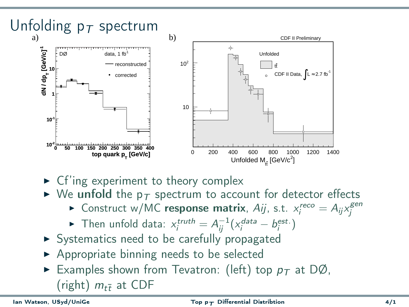

- $\triangleright$  Cf'ing experiment to theory complex
- $\triangleright$  We unfold the p<sub>T</sub> spectrum to account for detector effects
	- ► Construct w/MC response matrix, Aij, s.t.  $x_i^{reco} = A_{ij} x_j^{gen}$
	- ► Then unfold data:  $x_i^{truth} = A_{ij}^{-1}(x_i^{data} b_i^{est.})$
- ▶ Systematics need to be carefully propagated
- ▶ Appropriate binning needs to be selected
- Examples shown from Tevatron: (left) top  $p_T$  at DØ, (right)  $m_{t\bar{t}}$  at CDF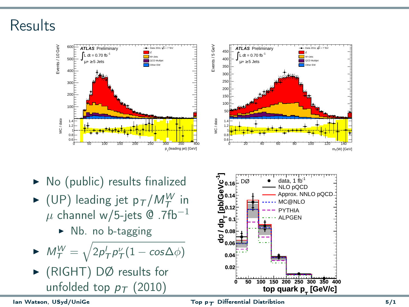Results







#### $I$ an Watson, USyd/UniGe  $5/1$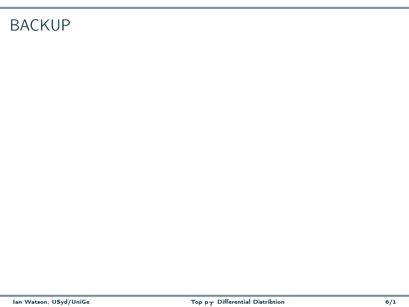## BACKUP